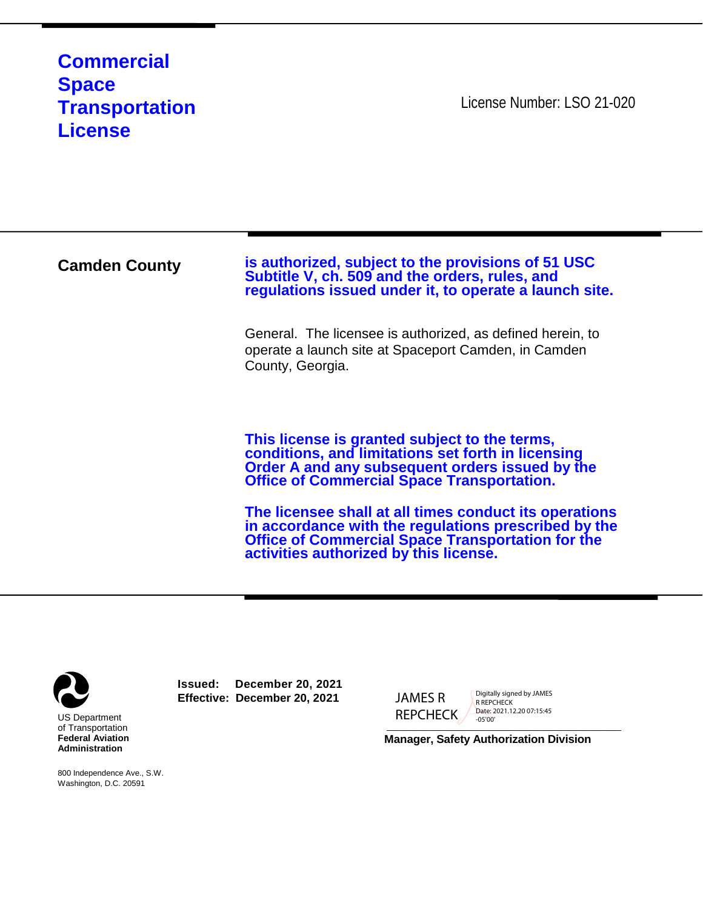## **Commercial Space Transportation License**

License Number: LSO 21-020

**Camden County is authorized, subject to the provisions of 51 USC**<br>Subtitle V, ch. 509 and the orders, rules, and **regulations issued under it, to operate a launch site.** General. The licensee is authorized, as defined herein, to operate a launch site at Spaceport Camden, in Camden County, Georgia. **This license is granted subject to the terms, conditions, and limitations set forth in licensing Order A and any subsequent orders issued by the Office of Commercial Space Transportation. The licensee shall at all times conduct its operations in accordance with the regulations prescribed by the Office of Commercial Space Transportation for the activities authorized by this license.**



800 Independence Ave., S.W. Washington, D.C. 20591

**Issued: December 20, 2021 Effective: December 20, 2021**

JAMES R REPCHECK

Digitally signed by JAMES R REPCHECK Date: 2021.12.20 07:15:45 -05'00'

**Manager, Safety Authorization Division**

\_\_\_\_\_\_\_\_\_\_\_\_\_\_\_\_\_\_\_\_\_\_\_\_\_\_\_\_\_\_\_\_\_\_\_\_\_\_\_\_\_\_\_\_\_\_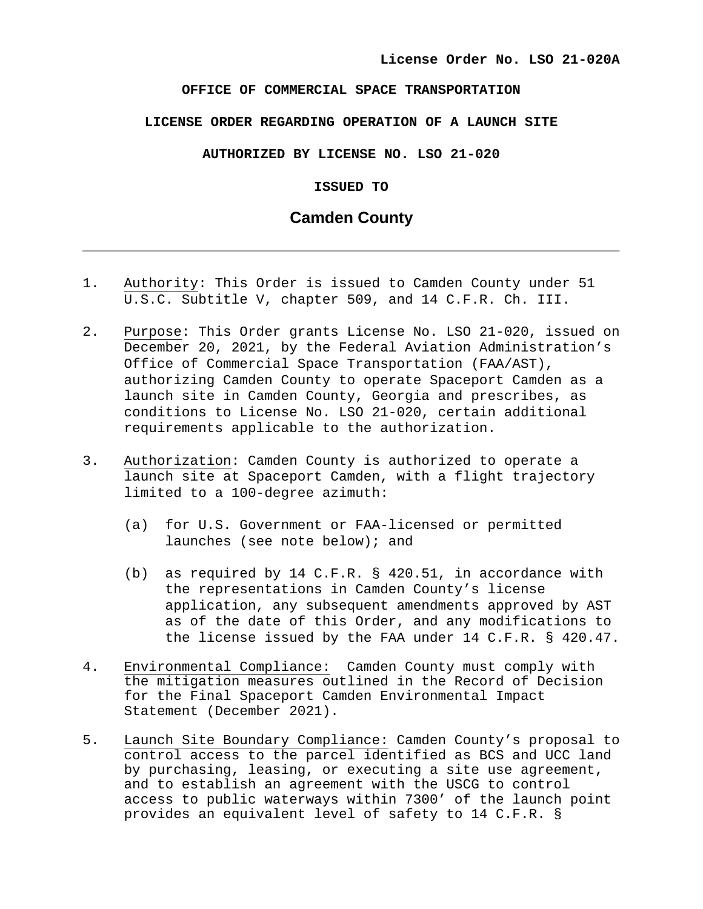## **OFFICE OF COMMERCIAL SPACE TRANSPORTATION**

## **LICENSE ORDER REGARDING OPERATION OF A LAUNCH SITE**

**AUTHORIZED BY LICENSE NO. LSO 21-020**

**ISSUED TO** 

## **Camden County**

- 1. Authority: This Order is issued to Camden County under 51 U.S.C. Subtitle V, chapter 509, and 14 C.F.R. Ch. III.
- 2. Purpose: This Order grants License No. LSO 21-020, issued on December 20, 2021, by the Federal Aviation Administration's Office of Commercial Space Transportation (FAA/AST), authorizing Camden County to operate Spaceport Camden as a launch site in Camden County, Georgia and prescribes, as conditions to License No. LSO 21-020, certain additional requirements applicable to the authorization.
- 3. Authorization: Camden County is authorized to operate a launch site at Spaceport Camden, with a flight trajectory limited to a 100-degree azimuth:
	- (a) for U.S. Government or FAA-licensed or permitted launches (see note below); and
	- (b) as required by 14 C.F.R. § 420.51, in accordance with the representations in Camden County's license application, any subsequent amendments approved by AST as of the date of this Order, and any modifications to the license issued by the FAA under 14 C.F.R. § 420.47.
- 4. Environmental Compliance: Camden County must comply with the mitigation measures outlined in the Record of Decision for the Final Spaceport Camden Environmental Impact Statement (December 2021).
- 5. Launch Site Boundary Compliance: Camden County's proposal to control access to the parcel identified as BCS and UCC land by purchasing, leasing, or executing a site use agreement, and to establish an agreement with the USCG to control access to public waterways within 7300' of the launch point provides an equivalent level of safety to 14 C.F.R. §